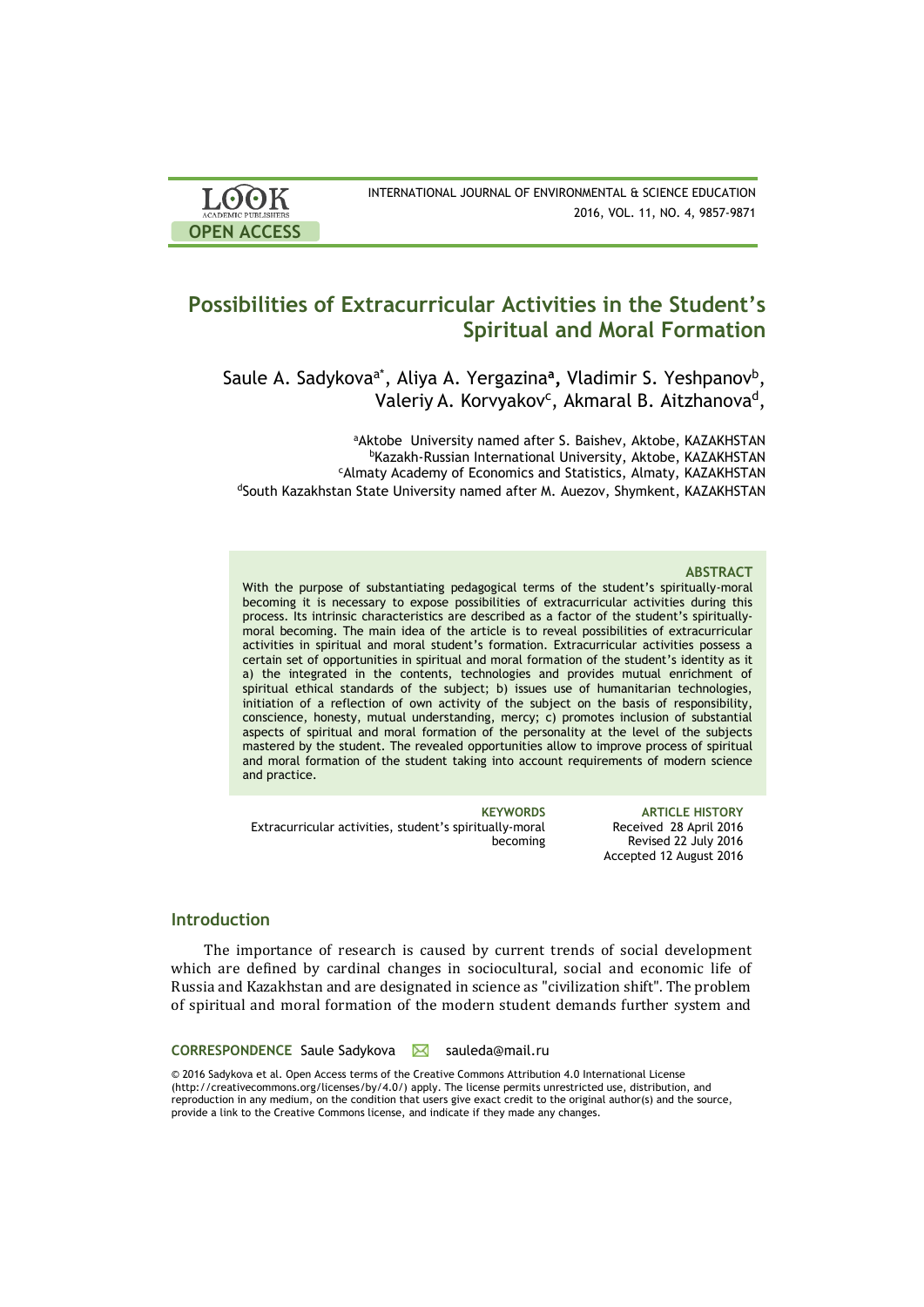| <b>LOOK</b>                | INTERNATIONAL JOURNAL OF ENVIRONMENTAL & SCIENCE EDUCATION |
|----------------------------|------------------------------------------------------------|
| <b>ACADEMIC PUBLISHERS</b> | 2016, VOL. 11, NO. 4, 9857-9871                            |
| <b>OPEN ACCESS</b>         |                                                            |

# **Possibilities of Extracurricular Activities in the Student's Spiritual and Moral Formation**

Saule A. Sadykova<sup>a\*</sup>, Aliya A. Yergazina<sup>a</sup>, Vladimir S. Yeshpanov<sup>b</sup>, Valeriy A. Korvyakov<sup>c</sup>, Akmaral B. Aitzhanova<sup>d</sup>,

aAktobe University named after S. Baishev, Aktobe, KAZAKHSTAN <sup>b</sup>Kazakh-Russian International University, Aktobe, KAZAKHSTAN <sup>c</sup>Almaty Academy of Economics and Statistics, Almaty, KAZAKHSTAN dSouth Kazakhstan State University named after M. Auezov, Shymkent, KAZAKHSTAN

### **ABSTRACT**

With the purpose of substantiating pedagogical terms of the student's spiritually-moral becoming it is necessary to expose possibilities of extracurricular activities during this process. Its intrinsic characteristics are described as a factor of the student's spirituallymoral becoming. The main idea of the article is to reveal possibilities of extracurricular activities in spiritual and moral student's formation. Extracurricular activities possess a certain set of opportunities in spiritual and moral formation of the student's identity as it a) the integrated in the contents, technologies and provides mutual enrichment of spiritual ethical standards of the subject; b) issues use of humanitarian technologies, initiation of a reflection of own activity of the subject on the basis of responsibility, conscience, honesty, mutual understanding, mercy; c) promotes inclusion of substantial aspects of spiritual and moral formation of the personality at the level of the subjects mastered by the student. The revealed opportunities allow to improve process of spiritual and moral formation of the student taking into account requirements of modern science and practice.

Extracurricular activities, student's spiritually-moral becoming

**KEYWORDS ARTICLE HISTORY** Received 28 April 2016 Revised 22 July 2016 Accepted 12 August 2016

# **Introduction**

The importance of research is caused by current trends of social development which are defined by cardinal changes in sociocultural, social and economic life of Russia and Kazakhstan and are designated in science as "civilization shift". The problem of spiritual and moral formation of the modern student demands further system and

### **CORRESPONDENCE** Saule Sadykova **Sauleda@mail.ru**

© 2016 Sadykova et al. Open Access terms of the Creative Commons Attribution 4.0 International License (http://creativecommons.org/licenses/by/4.0/) apply. The license permits unrestricted use, distribution, and reproduction in any medium, on the condition that users give exact credit to the original author(s) and the source, provide a link to the Creative Commons license, and indicate if they made any changes.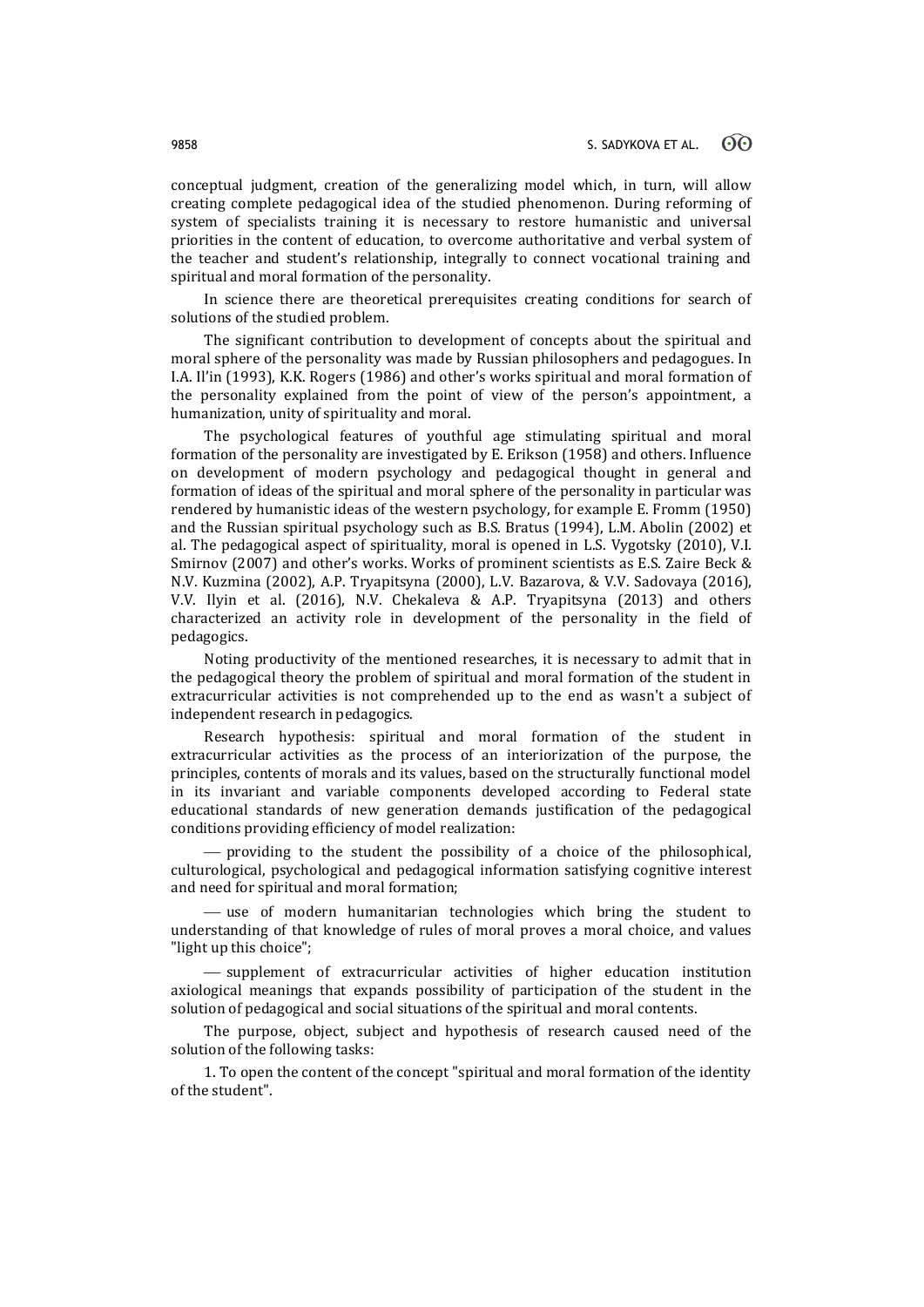conceptual judgment, creation of the generalizing model which, in turn, will allow creating complete pedagogical idea of the studied phenomenon. During reforming of system of specialists training it is necessary to restore humanistic and universal priorities in the content of education, to overcome authoritative and verbal system of the teacher and student's relationship, integrally to connect vocational training and spiritual and moral formation of the personality.

In science there are theoretical prerequisites creating conditions for search of solutions of the studied problem.

The significant contribution to development of concepts about the spiritual and moral sphere of the personality was made by Russian philosophers and pedagogues. In I.A. Il'in (1993), K.K. Rogers (1986) and other's works spiritual and moral formation of the personality explained from the point of view of the person's appointment, a humanization, unity of spirituality and moral.

The psychological features of youthful age stimulating spiritual and moral formation of the personality are investigated by E. Erikson (1958) and others. Influence on development of modern psychology and pedagogical thought in general and formation of ideas of the spiritual and moral sphere of the personality in particular was rendered by humanistic ideas of the western psychology, for example E. Fromm (1950) and the Russian spiritual psychology such as B.S. Bratus (1994), L.M. Abolin (2002) et al. The pedagogical aspect of spirituality, moral is opened in L.S. Vygotsky (2010), V.I. Smirnov (2007) and other's works. Works of prominent scientists as E.S. Zaire Beck & N.V. Kuzmina (2002), A.P. Tryapitsyna (2000), L.V. Bazarova, & V.V. Sadovaya (2016), V.V. Ilyin et al. (2016), N.V. Chekaleva & A.P. Tryapitsyna (2013) and others characterized an activity role in development of the personality in the field of pedagogics.

Noting productivity of the mentioned researches, it is necessary to admit that in the pedagogical theory the problem of spiritual and moral formation of the student in extracurricular activities is not comprehended up to the end as wasn't a subject of independent research in pedagogics.

Research hypothesis: spiritual and moral formation of the student in extracurricular activities as the process of an interiorization of the purpose, the principles, contents of morals and its values, based on the structurally functional model in its invariant and variable components developed according to Federal state educational standards of new generation demands justification of the pedagogical conditions providing efficiency of model realization:

 providing to the student the possibility of a choice of the philosophical, culturological, psychological and pedagogical information satisfying cognitive interest and need for spiritual and moral formation;

 $-$  use of modern humanitarian technologies which bring the student to understanding of that knowledge of rules of moral proves a moral choice, and values "light up this choice";

 supplement of extracurricular activities of higher education institution axiological meanings that expands possibility of participation of the student in the solution of pedagogical and social situations of the spiritual and moral contents.

The purpose, object, subject and hypothesis of research caused need of the solution of the following tasks:

1. To open the content of the concept "spiritual and moral formation of the identity of the student".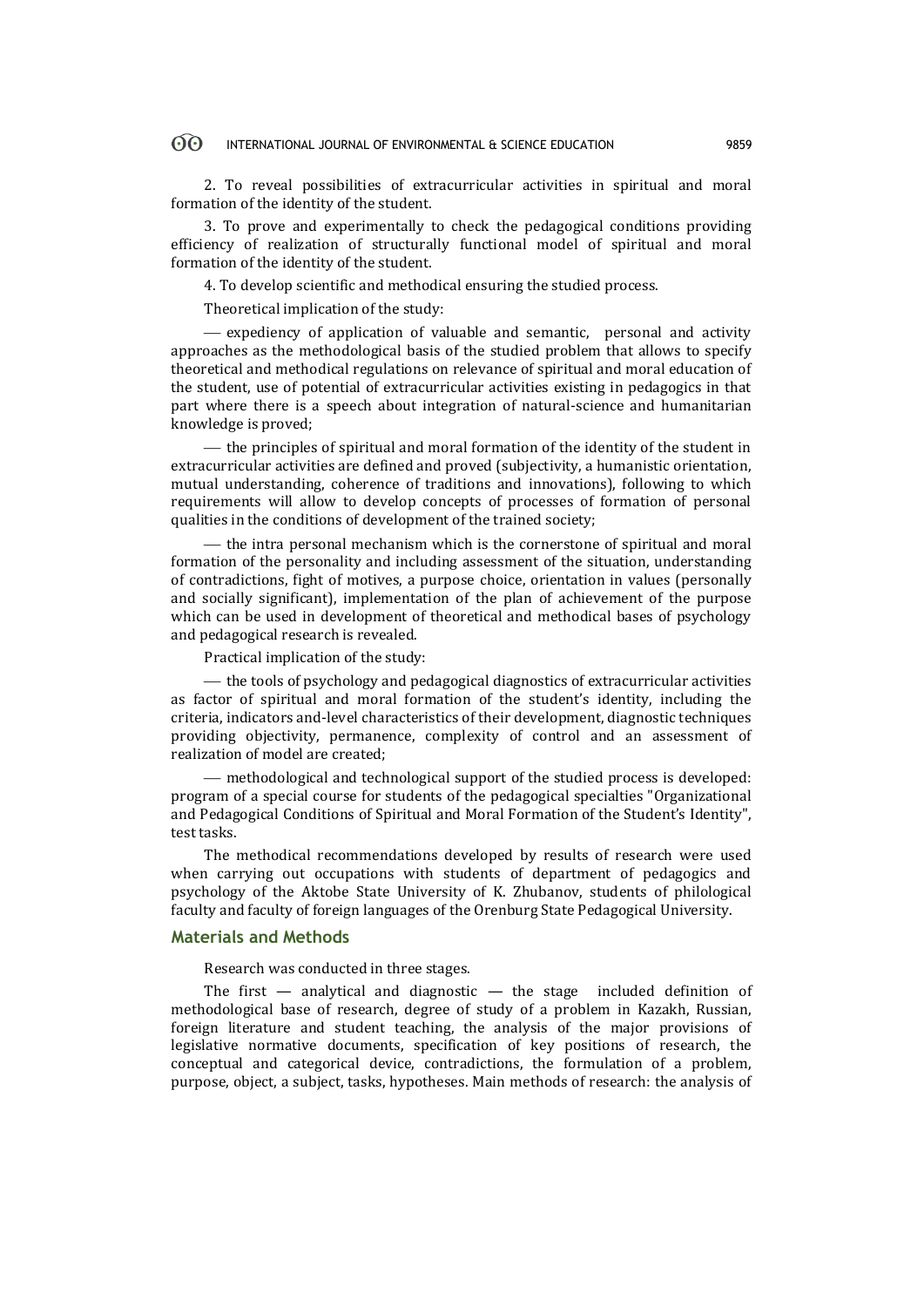2. To reveal possibilities of extracurricular activities in spiritual and moral formation of the identity of the student.

3. To prove and experimentally to check the pedagogical conditions providing efficiency of realization of structurally functional model of spiritual and moral formation of the identity of the student.

4. To develop scientific and methodical ensuring the studied process.

Theoretical implication of the study:

 expediency of application of valuable and semantic, personal and activity approaches as the methodological basis of the studied problem that allows to specify theoretical and methodical regulations on relevance of spiritual and moral education of the student, use of potential of extracurricular activities existing in pedagogics in that part where there is a speech about integration of natural-science and humanitarian knowledge is proved;

 $t$  the principles of spiritual and moral formation of the identity of the student in extracurricular activities are defined and proved (subjectivity, a humanistic orientation, mutual understanding, coherence of traditions and innovations), following to which requirements will allow to develop concepts of processes of formation of personal qualities in the conditions of development of the trained society;

 $t$  the intra personal mechanism which is the cornerstone of spiritual and moral formation of the personality and including assessment of the situation, understanding of contradictions, fight of motives, a purpose choice, orientation in values (personally and socially significant), implementation of the plan of achievement of the purpose which can be used in development of theoretical and methodical bases of psychology and pedagogical research is revealed.

Practical implication of the study:

 $-$  the tools of psychology and pedagogical diagnostics of extracurricular activities as factor of spiritual and moral formation of the student's identity, including the criteria, indicators and-level characteristics of their development, diagnostic techniques providing objectivity, permanence, complexity of control and an assessment of realization of model are created;

 methodological and technological support of the studied process is developed: program of a special course for students of the pedagogical specialties "Organizational and Pedagogical Conditions of Spiritual and Moral Formation of the Student's Identity", test tasks.

The methodical recommendations developed by results of research were used when carrying out occupations with students of department of pedagogics and psychology of the Aktobe State University of K. Zhubanov, students of philological faculty and faculty of foreign languages of the Orenburg State Pedagogical University.

## **Materials and Methods**

Research was conducted in three stages.

The first  $-$  analytical and diagnostic  $-$  the stage included definition of methodological base of research, degree of study of a problem in Kazakh, Russian, foreign literature and student teaching, the analysis of the major provisions of legislative normative documents, specification of key positions of research, the conceptual and categorical device, contradictions, the formulation of a problem, purpose, object, a subject, tasks, hypotheses. Main methods of research: the analysis of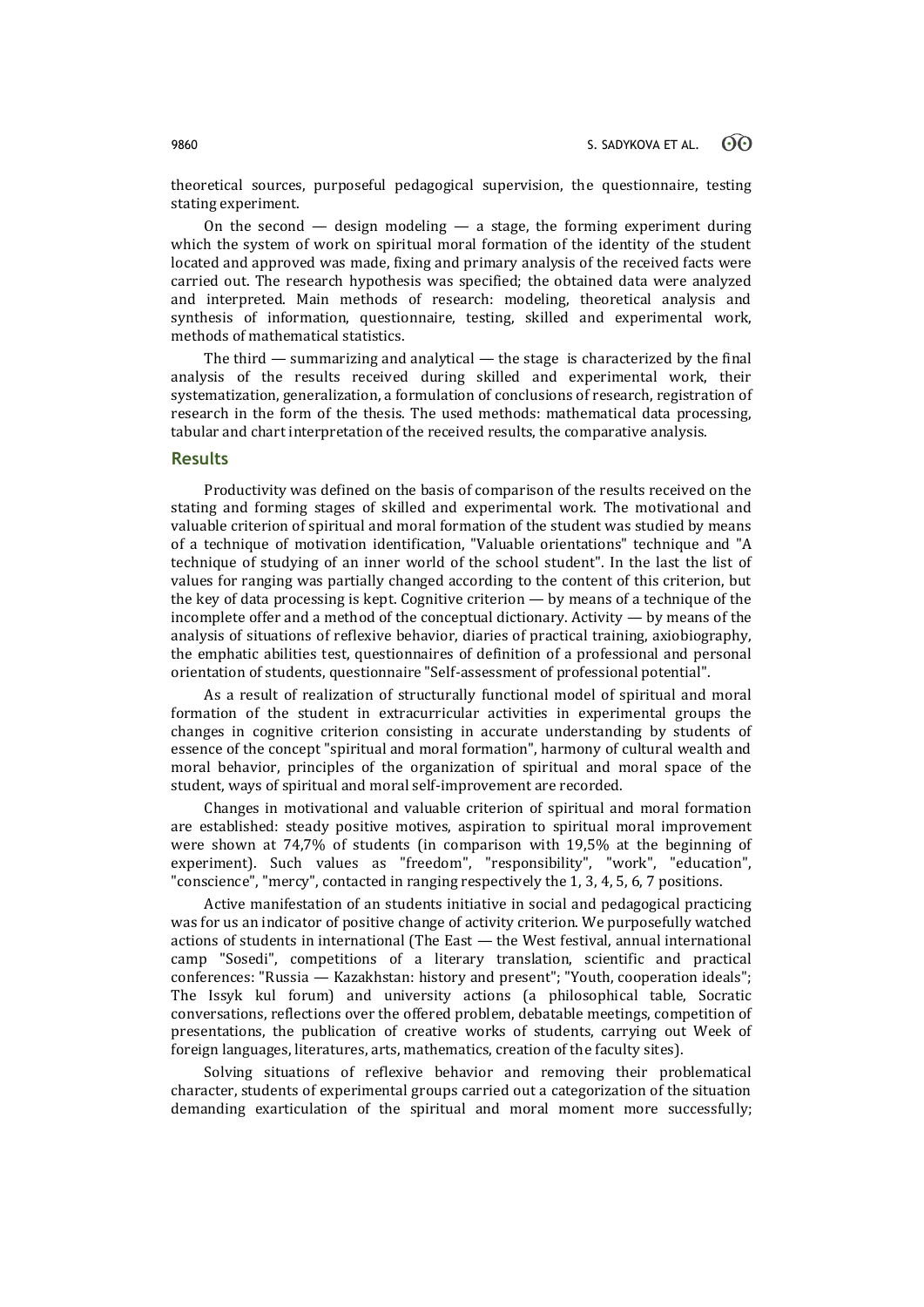theoretical sources, purposeful pedagogical supervision, the questionnaire, testing stating experiment.

On the second  $-$  design modeling  $-$  a stage, the forming experiment during which the system of work on spiritual moral formation of the identity of the student located and approved was made, fixing and primary analysis of the received facts were carried out. The research hypothesis was specified; the obtained data were analyzed and interpreted. Main methods of research: modeling, theoretical analysis and synthesis of information, questionnaire, testing, skilled and experimental work, methods of mathematical statistics.

The third — summarizing and analytical — the stage is characterized by the final analysis of the results received during skilled and experimental work, their systematization, generalization, a formulation of conclusions of research, registration of research in the form of the thesis. The used methods: mathematical data processing, tabular and chart interpretation of the received results, the comparative analysis.

# **Results**

Productivity was defined on the basis of comparison of the results received on the stating and forming stages of skilled and experimental work. The motivational and valuable criterion of spiritual and moral formation of the student was studied by means of a technique of motivation identification, "Valuable orientations" technique and "A technique of studying of an inner world of the school student". In the last the list of values for ranging was partially changed according to the content of this criterion, but the key of data processing is kept. Cognitive criterion  $-$  by means of a technique of the incomplete offer and a method of the conceptual dictionary. Activity — by means of the analysis of situations of reflexive behavior, diaries of practical training, axiobiography, the emphatic abilities test, questionnaires of definition of a professional and personal orientation of students, questionnaire "Self-assessment of professional potential".

As a result of realization of structurally functional model of spiritual and moral formation of the student in extracurricular activities in experimental groups the changes in cognitive criterion consisting in accurate understanding by students of essence of the concept "spiritual and moral formation", harmony of cultural wealth and moral behavior, principles of the organization of spiritual and moral space of the student, ways of spiritual and moral self-improvement are recorded.

Changes in motivational and valuable criterion of spiritual and moral formation are established: steady positive motives, aspiration to spiritual moral improvement were shown at 74,7% of students (in comparison with 19,5% at the beginning of experiment). Such values as "freedom", "responsibility", "work", "education", "conscience", "mercy", contacted in ranging respectively the 1, 3, 4, 5, 6, 7 positions.

Active manifestation of an students initiative in social and pedagogical practicing was for us an indicator of positive change of activity criterion. We purposefully watched actions of students in international (The East — the West festival, annual international camp "Sosedi", competitions of a literary translation, scientific and practical conferences: "Russia — Kazakhstan: history and present"; "Youth, cooperation ideals"; The Issyk kul forum) and university actions (a philosophical table, Socratic conversations, reflections over the offered problem, debatable meetings, competition of presentations, the publication of creative works of students, carrying out Week of foreign languages, literatures, arts, mathematics, creation of the faculty sites).

Solving situations of reflexive behavior and removing their problematical character, students of experimental groups carried out a categorization of the situation demanding exarticulation of the spiritual and moral moment more successfully;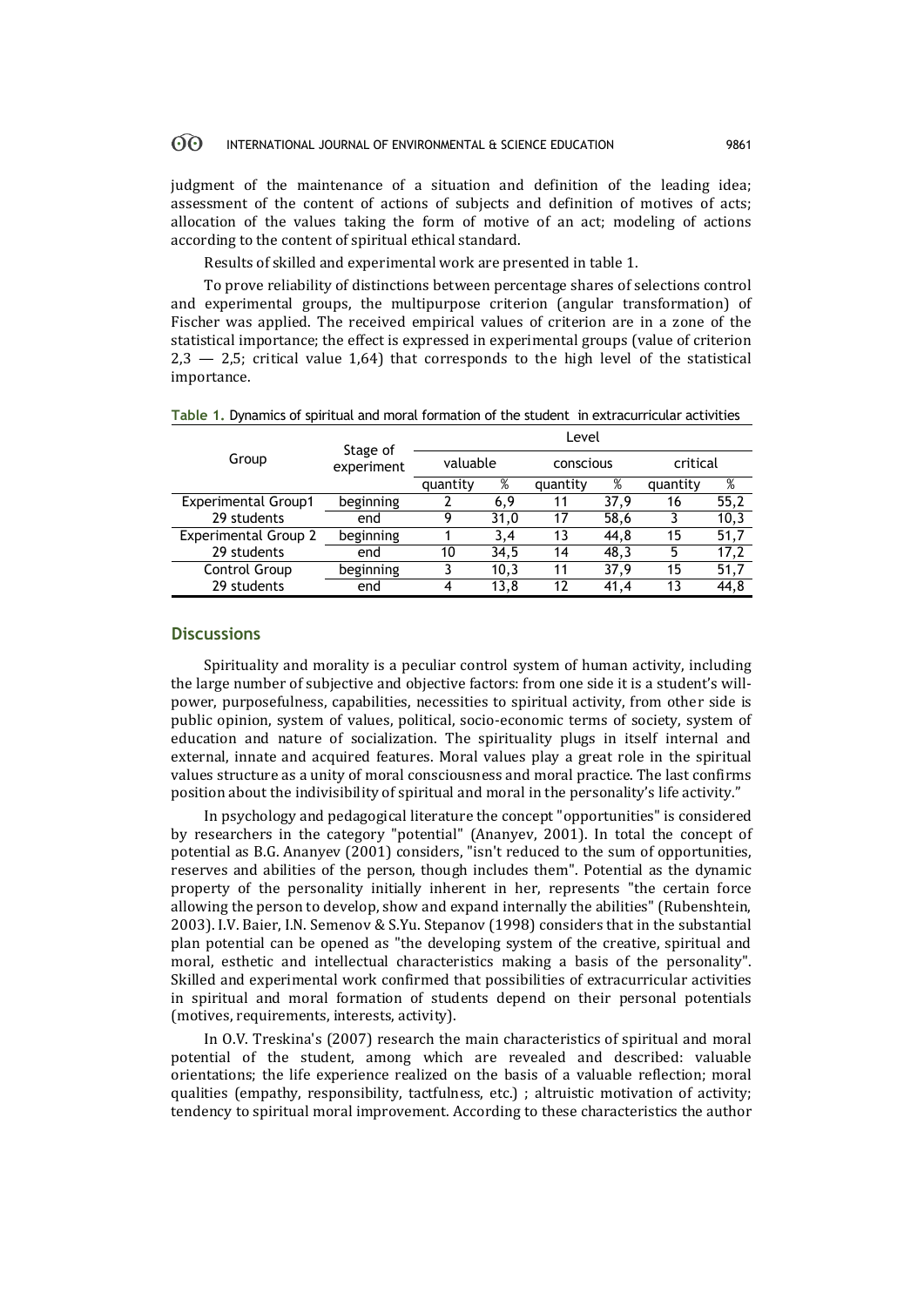judgment of the maintenance of a situation and definition of the leading idea; assessment of the content of actions of subjects and definition of motives of acts; allocation of the values taking the form of motive of an act; modeling of actions according to the content of spiritual ethical standard.

Results of skilled and experimental work are presented in table 1.

To prove reliability of distinctions between percentage shares of selections control and experimental groups, the multipurpose criterion (angular transformation) of Fischer was applied. The received empirical values of criterion are in a zone of the statistical importance; the effect is expressed in experimental groups (value of criterion  $2,3 - 2,5$ ; critical value 1,64) that corresponds to the high level of the statistical importance.

|  |  |  |  | Table 1. Dynamics of spiritual and moral formation of the student in extracurricular activities |
|--|--|--|--|-------------------------------------------------------------------------------------------------|
|--|--|--|--|-------------------------------------------------------------------------------------------------|

|                             | Stage of<br>experiment | Level    |      |           |      |          |      |
|-----------------------------|------------------------|----------|------|-----------|------|----------|------|
| Group                       |                        | valuable |      | conscious |      | critical |      |
|                             |                        | quantity | %    | quantity  | %    | quantity | %    |
| <b>Experimental Group1</b>  | beginning              |          | 6,9  | 11        | 37.9 | 16       | 55,2 |
| 29 students                 | end                    | 9        | 31,0 | 17        | 58,6 |          | 10,3 |
| <b>Experimental Group 2</b> | beginning              |          | 3,4  | 13        | 44,8 | 15       | 51,7 |
| 29 students                 | end                    | 10       | 34,5 | 14        | 48,3 | 5        | 17,2 |
| Control Group               | beginning              |          | 10,3 | 11        | 37,9 | 15       | 51,7 |
| 29 students                 | end                    | 4        | 13.8 | 12        | 41.4 | 13       | 44,8 |

# **Discussions**

Spirituality and morality is a peculiar control system of human activity, including the large number of subjective and objective factors: from one side it is a student's willpower, purposefulness, capabilities, necessities to spiritual activity, from other side is public opinion, system of values, political, socio-economic terms of society, system of education and nature of socialization. The spirituality plugs in itself internal and external, innate and acquired features. Moral values play a great role in the spiritual values structure as a unity of moral consciousness and moral practice. The last confirms position about the indivisibility of spiritual and moral in the personality's life activity."

In psychology and pedagogical literature the concept "opportunities" is considered by researchers in the category "potential" (Ananyev, 2001). In total the concept of potential as B.G. Ananyev (2001) considers, "isn't reduced to the sum of opportunities, reserves and abilities of the person, though includes them". Potential as the dynamic property of the personality initially inherent in her, represents "the certain force allowing the person to develop, show and expand internally the abilities" (Rubenshtein, 2003). I.V. Baier, I.N. Semenov & S.Yu. Stepanov (1998) considers that in the substantial plan potential can be opened as "the developing system of the creative, spiritual and moral, esthetic and intellectual characteristics making a basis of the personality". Skilled and experimental work confirmed that possibilities of extracurricular activities in spiritual and moral formation of students depend on their personal potentials (motives, requirements, interests, activity).

In O.V. Treskina's (2007) research the main characteristics of spiritual and moral potential of the student, among which are revealed and described: valuable orientations; the life experience realized on the basis of a valuable reflection; moral qualities (empathy, responsibility, tactfulness, etc.) ; altruistic motivation of activity; tendency to spiritual moral improvement. According to these characteristics the author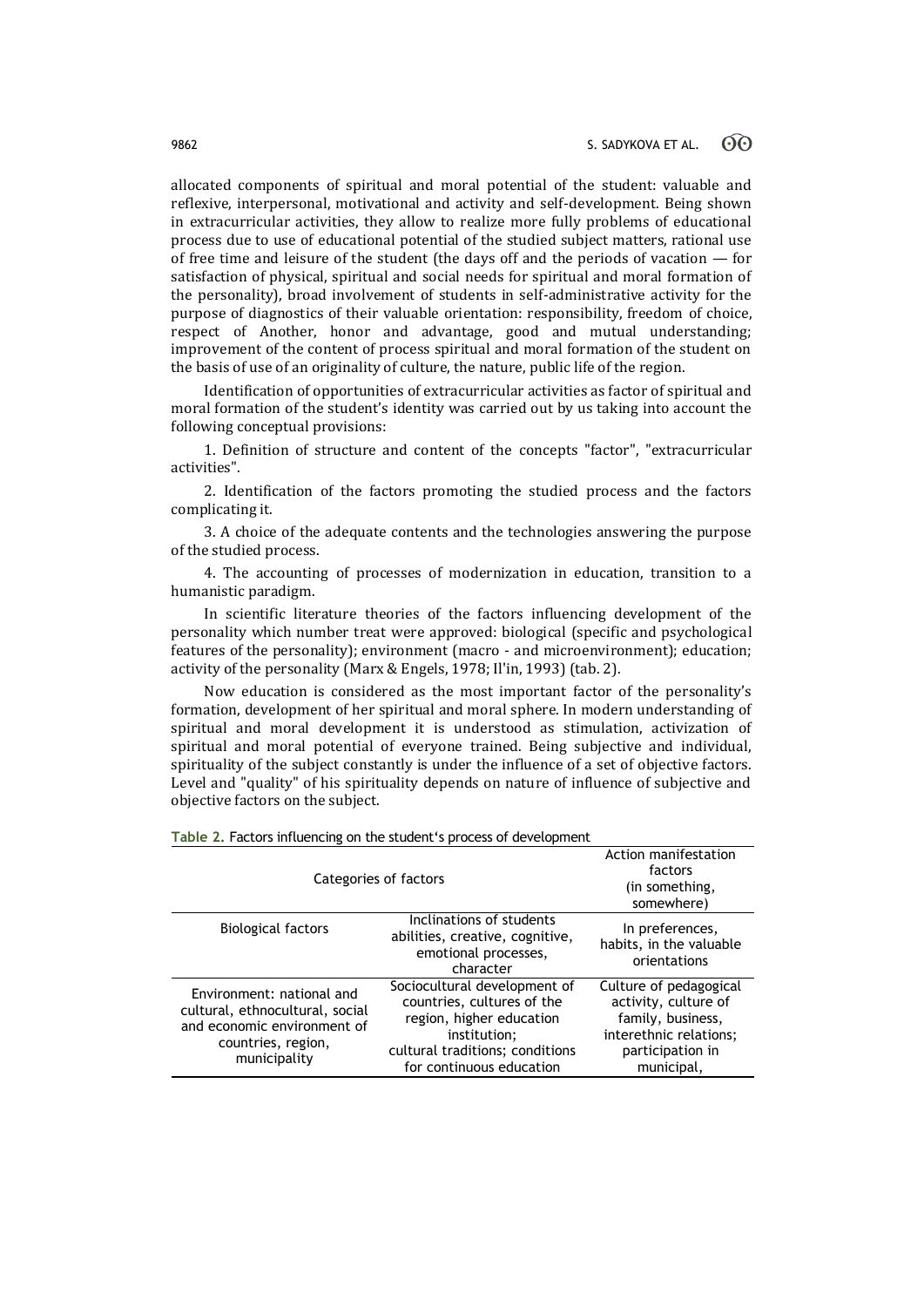allocated components of spiritual and moral potential of the student: valuable and reflexive, interpersonal, motivational and activity and self-development. Being shown in extracurricular activities, they allow to realize more fully problems of educational process due to use of educational potential of the studied subject matters, rational use of free time and leisure of the student (the days off and the periods of vacation — for satisfaction of physical, spiritual and social needs for spiritual and moral formation of the personality), broad involvement of students in self-administrative activity for the purpose of diagnostics of their valuable orientation: responsibility, freedom of choice, respect of Another, honor and advantage, good and mutual understanding; improvement of the content of process spiritual and moral formation of the student on the basis of use of an originality of culture, the nature, public life of the region.

Identification of opportunities of extracurricular activities as factor of spiritual and moral formation of the student's identity was carried out by us taking into account the following conceptual provisions:

1. Definition of structure and content of the concepts "factor", "extracurricular activities".

2. Identification of the factors promoting the studied process and the factors complicating it.

3. A choice of the adequate contents and the technologies answering the purpose of the studied process.

4. The accounting of processes of modernization in education, transition to a humanistic paradigm.

In scientific literature theories of the factors influencing development of the personality which number treat were approved: biological (specific and psychological features of the personality); environment (macro - and microenvironment); education; activity of the personality (Marx & Engels, 1978; Il'in, 1993) (tab. 2).

Now education is considered as the most important factor of the personality's formation, development of her spiritual and moral sphere. In modern understanding of spiritual and moral development it is understood as stimulation, activization of spiritual and moral potential of everyone trained. Being subjective and individual, spirituality of the subject constantly is under the influence of a set of objective factors. Level and "quality" of his spirituality depends on nature of influence of subjective and objective factors on the subject.

| Categories of factors                                                                                                             | Action manifestation<br>factors<br>(in something,<br>somewhere)                                                                                                       |                                                                                                                                 |  |
|-----------------------------------------------------------------------------------------------------------------------------------|-----------------------------------------------------------------------------------------------------------------------------------------------------------------------|---------------------------------------------------------------------------------------------------------------------------------|--|
| <b>Biological factors</b>                                                                                                         | Inclinations of students<br>abilities, creative, cognitive,<br>emotional processes,<br>character                                                                      | In preferences,<br>habits, in the valuable<br>orientations                                                                      |  |
| Environment: national and<br>cultural, ethnocultural, social<br>and economic environment of<br>countries, region,<br>municipality | Sociocultural development of<br>countries, cultures of the<br>region, higher education<br>institution:<br>cultural traditions; conditions<br>for continuous education | Culture of pedagogical<br>activity, culture of<br>family, business,<br>interethnic relations;<br>participation in<br>municipal, |  |

**Table 2.** Factors influencing on the student's process of development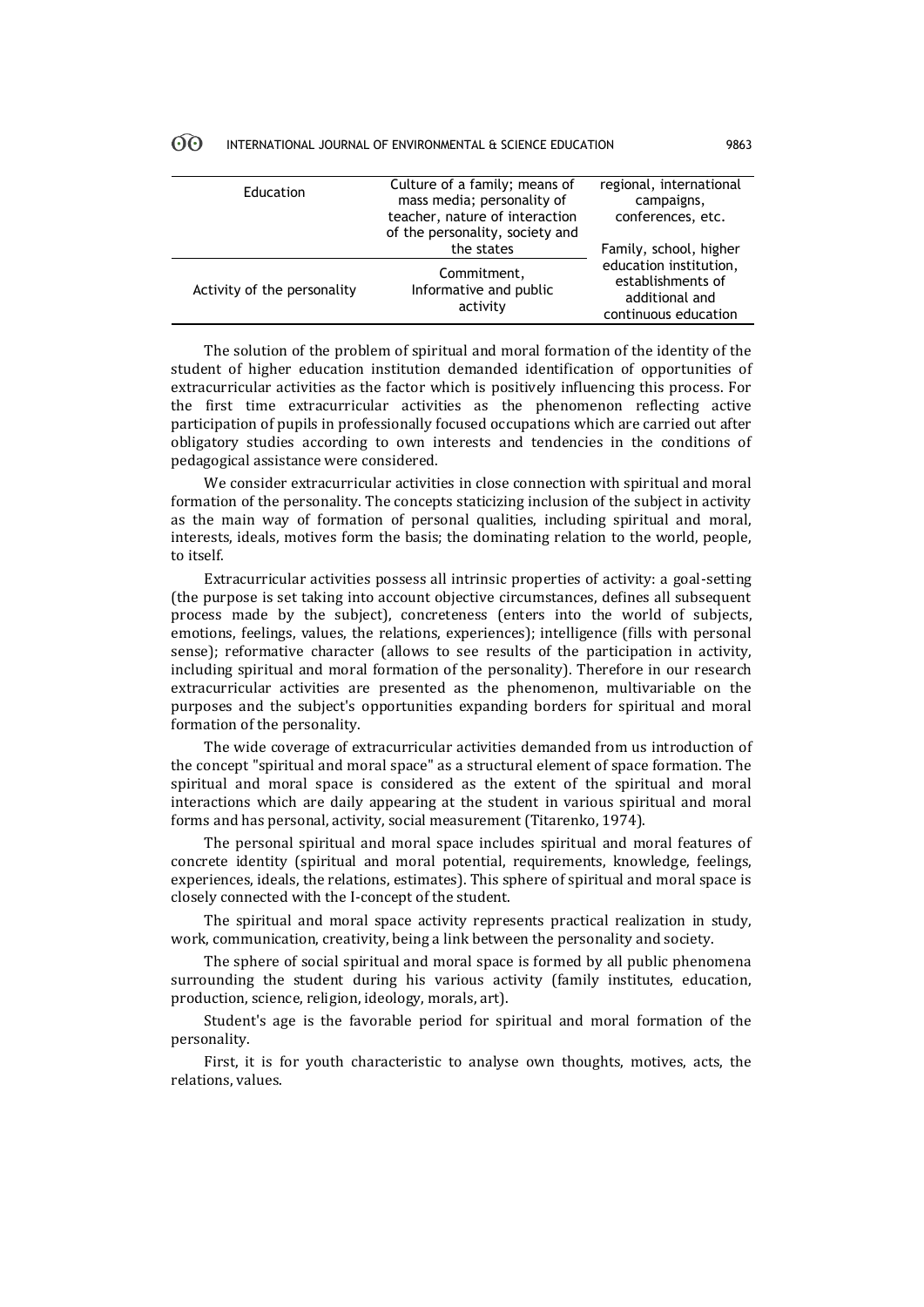|    | INTERNATIONAL JOURNAL OF ENVIRONMENTAL & SCIENCE EDUCATION |  | 9863 |
|----|------------------------------------------------------------|--|------|
| 00 |                                                            |  |      |

| Education                   | Culture of a family; means of<br>mass media; personality of<br>teacher, nature of interaction<br>of the personality, society and | regional, international<br>campaigns,<br>conferences, etc.                            |
|-----------------------------|----------------------------------------------------------------------------------------------------------------------------------|---------------------------------------------------------------------------------------|
|                             | the states                                                                                                                       | Family, school, higher                                                                |
| Activity of the personality | Commitment,<br>Informative and public<br>activity                                                                                | education institution,<br>establishments of<br>additional and<br>continuous education |

The solution of the problem of spiritual and moral formation of the identity of the student of higher education institution demanded identification of opportunities of extracurricular activities as the factor which is positively influencing this process. For the first time extracurricular activities as the phenomenon reflecting active participation of pupils in professionally focused occupations which are carried out after obligatory studies according to own interests and tendencies in the conditions of pedagogical assistance were considered.

We consider extracurricular activities in close connection with spiritual and moral formation of the personality. The concepts staticizing inclusion of the subject in activity as the main way of formation of personal qualities, including spiritual and moral, interests, ideals, motives form the basis; the dominating relation to the world, people, to itself.

Extracurricular activities possess all intrinsic properties of activity: a goal-setting (the purpose is set taking into account objective circumstances, defines all subsequent process made by the subject), concreteness (enters into the world of subjects, emotions, feelings, values, the relations, experiences); intelligence (fills with personal sense); reformative character (allows to see results of the participation in activity, including spiritual and moral formation of the personality). Therefore in our research extracurricular activities are presented as the phenomenon, multivariable on the purposes and the subject's opportunities expanding borders for spiritual and moral formation of the personality.

The wide coverage of extracurricular activities demanded from us introduction of the concept "spiritual and moral space" as a structural element of space formation. The spiritual and moral space is considered as the extent of the spiritual and moral interactions which are daily appearing at the student in various spiritual and moral forms and has personal, activity, social measurement (Titarenko, 1974).

The personal spiritual and moral space includes spiritual and moral features of concrete identity (spiritual and moral potential, requirements, knowledge, feelings, experiences, ideals, the relations, estimates). This sphere of spiritual and moral space is closely connected with the I-concept of the student.

The spiritual and moral space activity represents practical realization in study, work, communication, creativity, being a link between the personality and society.

The sphere of social spiritual and moral space is formed by all public phenomena surrounding the student during his various activity (family institutes, education, production, science, religion, ideology, morals, art).

Student's age is the favorable period for spiritual and moral formation of the personality.

First, it is for youth characteristic to analyse own thoughts, motives, acts, the relations, values.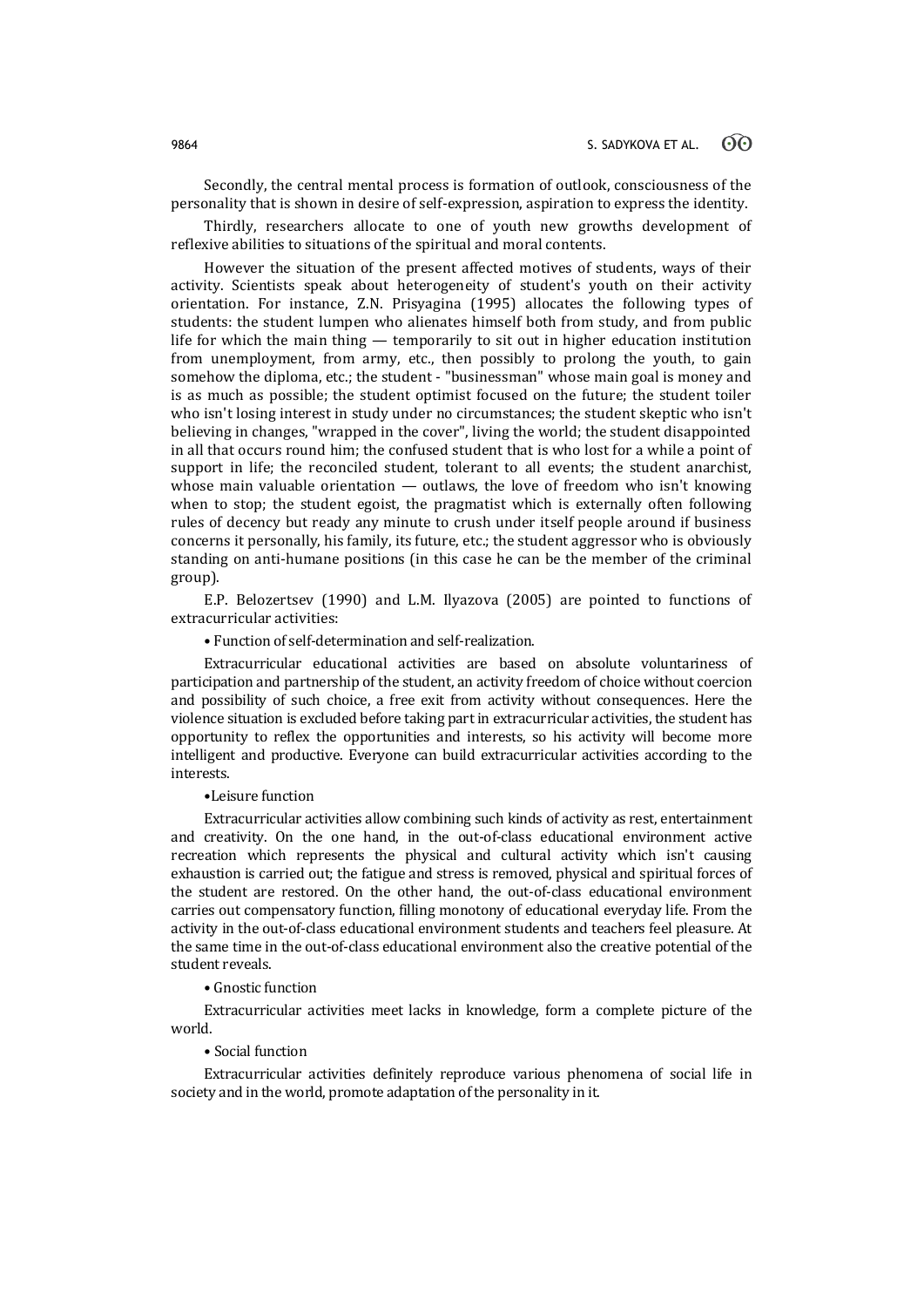Secondly, the central mental process is formation of outlook, consciousness of the personality that is shown in desire of self-expression, aspiration to express the identity.

Thirdly, researchers allocate to one of youth new growths development of reflexive abilities to situations of the spiritual and moral contents.

However the situation of the present affected motives of students, ways of their activity. Scientists speak about heterogeneity of student's youth on their activity orientation. For instance, Z.N. Prisyagina (1995) allocates the following types of students: the student lumpen who alienates himself both from study, and from public life for which the main thing — temporarily to sit out in higher education institution from unemployment, from army, etc., then possibly to prolong the youth, to gain somehow the diploma, etc.; the student - "businessman" whose main goal is money and is as much as possible; the student optimist focused on the future; the student toiler who isn't losing interest in study under no circumstances; the student skeptic who isn't believing in changes, "wrapped in the cover", living the world; the student disappointed in all that occurs round him; the confused student that is who lost for a while a point of support in life; the reconciled student, tolerant to all events; the student anarchist, whose main valuable orientation — outlaws, the love of freedom who isn't knowing when to stop; the student egoist, the pragmatist which is externally often following rules of decency but ready any minute to crush under itself people around if business concerns it personally, his family, its future, etc.; the student aggressor who is obviously standing on anti-humane positions (in this case he can be the member of the criminal group).

E.P. Belozertsev (1990) and L.M. Ilyazova (2005) are pointed to functions of extracurricular activities:

• Function of self-determination and self-realization.

Extracurricular educational activities are based on absolute voluntariness of participation and partnership of the student, an activity freedom of choice without coercion and possibility of such choice, a free exit from activity without consequences. Here the violence situation is excluded before taking part in extracurricular activities, the student has opportunity to reflex the opportunities and interests, so his activity will become more intelligent and productive. Everyone can build extracurricular activities according to the interests.

### •Leisure function

Extracurricular activities allow combining such kinds of activity as rest, entertainment and creativity. On the one hand, in the out-of-class educational environment active recreation which represents the physical and cultural activity which isn't causing exhaustion is carried out; the fatigue and stress is removed, physical and spiritual forces of the student are restored. On the other hand, the out-of-class educational environment carries out compensatory function, filling monotony of educational everyday life. From the activity in the out-of-class educational environment students and teachers feel pleasure. At the same time in the out-of-class educational environment also the creative potential of the student reveals.

• Gnostic function

Extracurricular activities meet lacks in knowledge, form a complete picture of the world.

# • Social function

Extracurricular activities definitely reproduce various phenomena of social life in society and in the world, promote adaptation of the personality in it.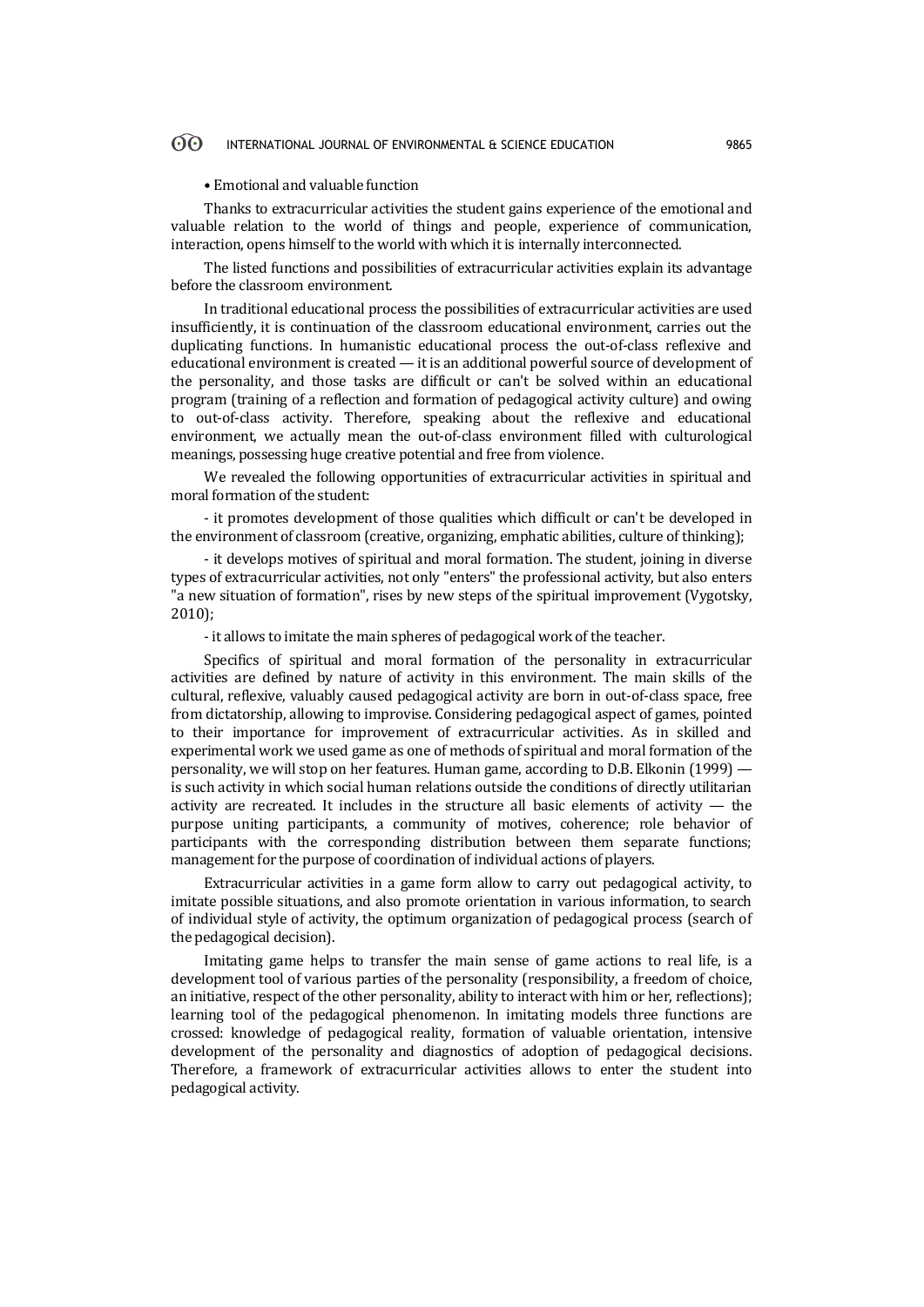### • Emotional and valuable function

Thanks to extracurricular activities the student gains experience of the emotional and valuable relation to the world of things and people, experience of communication, interaction, opens himself to the world with which it is internally interconnected.

The listed functions and possibilities of extracurricular activities explain its advantage before the classroom environment.

In traditional educational process the possibilities of extracurricular activities are used insufficiently, it is continuation of the classroom educational environment, carries out the duplicating functions. In humanistic educational process the out-of-class reflexive and educational environment is created — it is an additional powerful source of development of the personality, and those tasks are difficult or can't be solved within an educational program (training of a reflection and formation of pedagogical activity culture) and owing to out-of-class activity. Therefore, speaking about the reflexive and educational environment, we actually mean the out-of-class environment filled with culturological meanings, possessing huge creative potential and free from violence.

We revealed the following opportunities of extracurricular activities in spiritual and moral formation of the student:

- it promotes development of those qualities which difficult or can't be developed in the environment of classroom (creative, organizing, emphatic abilities, culture of thinking);

- it develops motives of spiritual and moral formation. The student, joining in diverse types of extracurricular activities, not only "enters" the professional activity, but also enters "a new situation of formation", rises by new steps of the spiritual improvement (Vygotsky, 2010);

- it allows to imitate the main spheres of pedagogical work of the teacher.

Specifics of spiritual and moral formation of the personality in extracurricular activities are defined by nature of activity in this environment. The main skills of the cultural, reflexive, valuably caused pedagogical activity are born in out-of-class space, free from dictatorship, allowing to improvise. Considering pedagogical aspect of games, pointed to their importance for improvement of extracurricular activities. As in skilled and experimental work we used game as one of methods of spiritual and moral formation of the personality, we will stop on her features. Human game, according to D.B. Elkonin (1999) is such activity in which social human relations outside the conditions of directly utilitarian activity are recreated. It includes in the structure all basic elements of activity — the purpose uniting participants, a community of motives, coherence; role behavior of participants with the corresponding distribution between them separate functions; management for the purpose of coordination of individual actions of players.

Extracurricular activities in a game form allow to carry out pedagogical activity, to imitate possible situations, and also promote orientation in various information, to search of individual style of activity, the optimum organization of pedagogical process (search of the pedagogical decision).

Imitating game helps to transfer the main sense of game actions to real life, is a development tool of various parties of the personality (responsibility, a freedom of choice, an initiative, respect of the other personality, ability to interact with him or her, reflections); learning tool of the pedagogical phenomenon. In imitating models three functions are crossed: knowledge of pedagogical reality, formation of valuable orientation, intensive development of the personality and diagnostics of adoption of pedagogical decisions. Therefore, a framework of extracurricular activities allows to enter the student into pedagogical activity.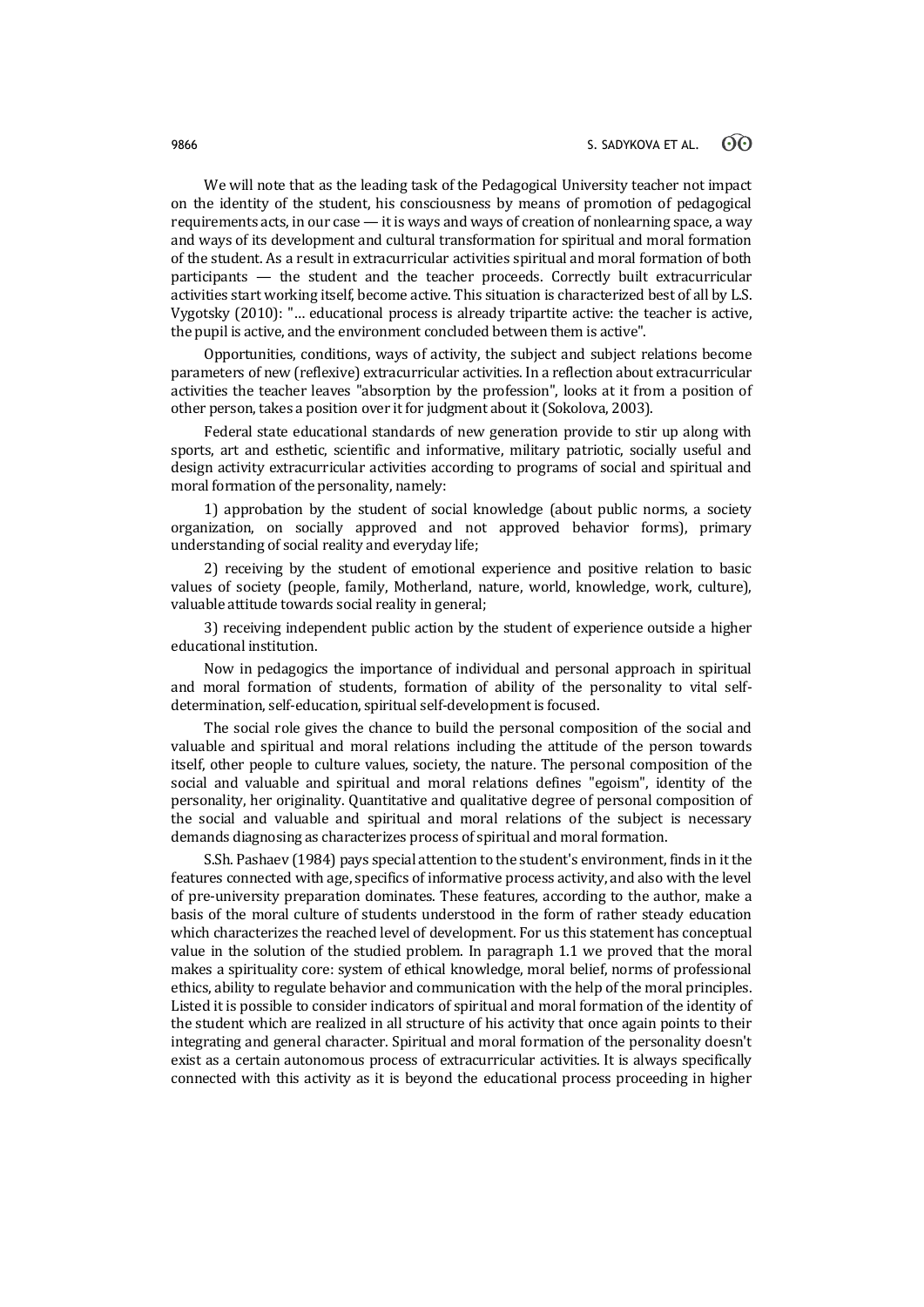We will note that as the leading task of the Pedagogical University teacher not impact on the identity of the student, his consciousness by means of promotion of pedagogical requirements acts, in our case — it is ways and ways of creation of nonlearning space, a way and ways of its development and cultural transformation for spiritual and moral formation of the student. As a result in extracurricular activities spiritual and moral formation of both participants — the student and the teacher proceeds. Correctly built extracurricular activities start working itself, become active. This situation is characterized best of all by L.S. Vygotsky (2010): "… educational process is already tripartite active: the teacher is active, the pupil is active, and the environment concluded between them is active".

Opportunities, conditions, ways of activity, the subject and subject relations become parameters of new (reflexive) extracurricular activities. In a reflection about extracurricular activities the teacher leaves "absorption by the profession", looks at it from a position of other person, takes a position over it for judgment about it (Sokolova, 2003).

Federal state educational standards of new generation provide to stir up along with sports, art and esthetic, scientific and informative, military patriotic, socially useful and design activity extracurricular activities according to programs of social and spiritual and moral formation of the personality, namely:

1) approbation by the student of social knowledge (about public norms, a society organization, on socially approved and not approved behavior forms), primary understanding of social reality and everyday life;

2) receiving by the student of emotional experience and positive relation to basic values of society (people, family, Motherland, nature, world, knowledge, work, culture), valuable attitude towards social reality in general;

3) receiving independent public action by the student of experience outside a higher educational institution.

Now in pedagogics the importance of individual and personal approach in spiritual and moral formation of students, formation of ability of the personality to vital selfdetermination, self-education, spiritual self-development is focused.

The social role gives the chance to build the personal composition of the social and valuable and spiritual and moral relations including the attitude of the person towards itself, other people to culture values, society, the nature. The personal composition of the social and valuable and spiritual and moral relations defines "egoism", identity of the personality, her originality. Quantitative and qualitative degree of personal composition of the social and valuable and spiritual and moral relations of the subject is necessary demands diagnosing as characterizes process of spiritual and moral formation.

S.Sh. Pashaev (1984) pays special attention to the student's environment, finds in it the features connected with age, specifics of informative process activity, and also with the level of pre-university preparation dominates. These features, according to the author, make a basis of the moral culture of students understood in the form of rather steady education which characterizes the reached level of development. For us this statement has conceptual value in the solution of the studied problem. In paragraph 1.1 we proved that the moral makes a spirituality core: system of ethical knowledge, moral belief, norms of professional ethics, ability to regulate behavior and communication with the help of the moral principles. Listed it is possible to consider indicators of spiritual and moral formation of the identity of the student which are realized in all structure of his activity that once again points to their integrating and general character. Spiritual and moral formation of the personality doesn't exist as a certain autonomous process of extracurricular activities. It is always specifically connected with this activity as it is beyond the educational process proceeding in higher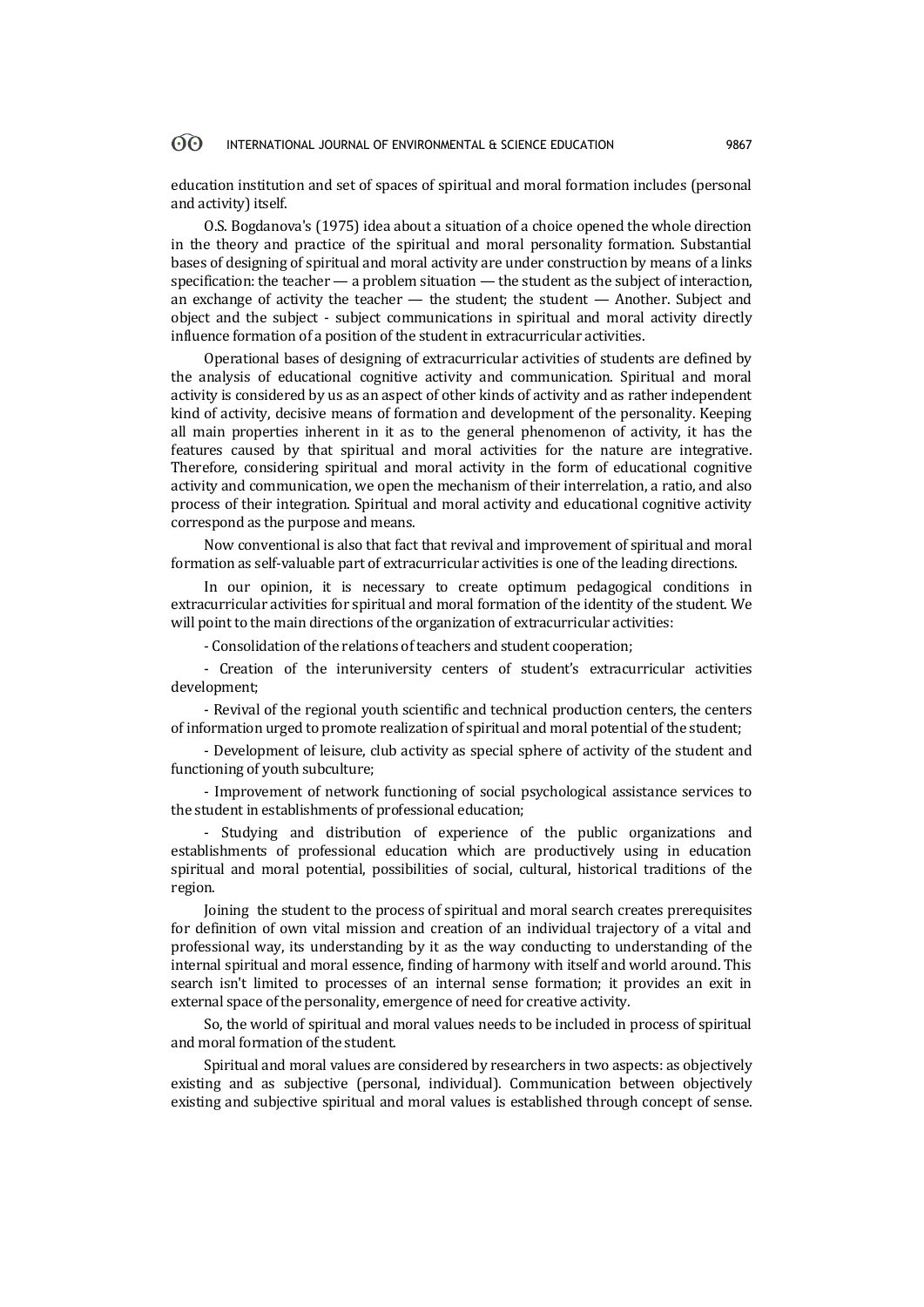education institution and set of spaces of spiritual and moral formation includes (personal and activity) itself.

O.S. Bogdanova's (1975) idea about a situation of a choice opened the whole direction in the theory and practice of the spiritual and moral personality formation. Substantial bases of designing of spiritual and moral activity are under construction by means of a links specification: the teacher — a problem situation — the student as the subject of interaction, an exchange of activity the teacher — the student; the student — Another. Subject and object and the subject - subject communications in spiritual and moral activity directly influence formation of a position of the student in extracurricular activities.

Operational bases of designing of extracurricular activities of students are defined by the analysis of educational cognitive activity and communication. Spiritual and moral activity is considered by us as an aspect of other kinds of activity and as rather independent kind of activity, decisive means of formation and development of the personality. Keeping all main properties inherent in it as to the general phenomenon of activity, it has the features caused by that spiritual and moral activities for the nature are integrative. Therefore, considering spiritual and moral activity in the form of educational cognitive activity and communication, we open the mechanism of their interrelation, a ratio, and also process of their integration. Spiritual and moral activity and educational cognitive activity correspond as the purpose and means.

Now conventional is also that fact that revival and improvement of spiritual and moral formation as self-valuable part of extracurricular activities is one of the leading directions.

In our opinion, it is necessary to create optimum pedagogical conditions in extracurricular activities for spiritual and moral formation of the identity of the student. We will point to the main directions of the organization of extracurricular activities:

- Consolidation of the relations of teachers and student cooperation;

- Creation of the interuniversity centers of student's extracurricular activities development;

- Revival of the regional youth scientific and technical production centers, the centers of information urged to promote realization of spiritual and moral potential of the student;

- Development of leisure, club activity as special sphere of activity of the student and functioning of youth subculture;

- Improvement of network functioning of social psychological assistance services to the student in establishments of professional education;

- Studying and distribution of experience of the public organizations and establishments of professional education which are productively using in education spiritual and moral potential, possibilities of social, cultural, historical traditions of the region.

Joining the student to the process of spiritual and moral search creates prerequisites for definition of own vital mission and creation of an individual trajectory of a vital and professional way, its understanding by it as the way conducting to understanding of the internal spiritual and moral essence, finding of harmony with itself and world around. This search isn't limited to processes of an internal sense formation; it provides an exit in external space of the personality, emergence of need for creative activity.

So, the world of spiritual and moral values needs to be included in process of spiritual and moral formation of the student.

Spiritual and moral values are considered by researchers in two aspects: as objectively existing and as subjective (personal, individual). Communication between objectively existing and subjective spiritual and moral values is established through concept of sense.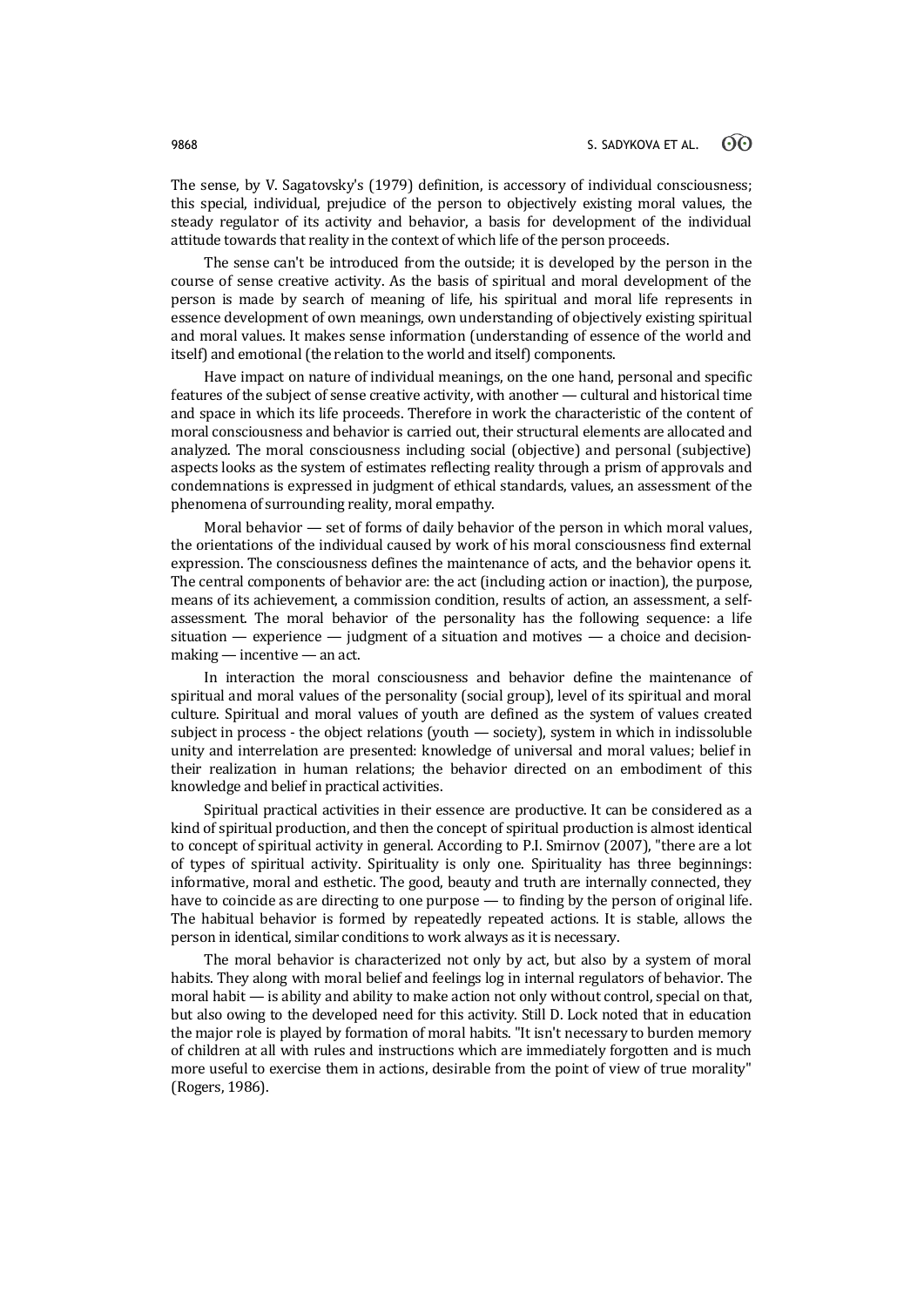The sense, by V. Sagatovsky's (1979) definition, is accessory of individual consciousness; this special, individual, prejudice of the person to objectively existing moral values, the steady regulator of its activity and behavior, a basis for development of the individual attitude towards that reality in the context of which life of the person proceeds.

The sense can't be introduced from the outside; it is developed by the person in the course of sense creative activity. As the basis of spiritual and moral development of the person is made by search of meaning of life, his spiritual and moral life represents in essence development of own meanings, own understanding of objectively existing spiritual and moral values. It makes sense information (understanding of essence of the world and itself) and emotional (the relation to the world and itself) components.

Have impact on nature of individual meanings, on the one hand, personal and specific features of the subject of sense creative activity, with another — cultural and historical time and space in which its life proceeds. Therefore in work the characteristic of the content of moral consciousness and behavior is carried out, their structural elements are allocated and analyzed. The moral consciousness including social (objective) and personal (subjective) aspects looks as the system of estimates reflecting reality through a prism of approvals and condemnations is expressed in judgment of ethical standards, values, an assessment of the phenomena of surrounding reality, moral empathy.

Moral behavior — set of forms of daily behavior of the person in which moral values, the orientations of the individual caused by work of his moral consciousness find external expression. The consciousness defines the maintenance of acts, and the behavior opens it. The central components of behavior are: the act (including action or inaction), the purpose, means of its achievement, a commission condition, results of action, an assessment, a selfassessment. The moral behavior of the personality has the following sequence: a life situation — experience — judgment of a situation and motives — a choice and decisionmaking — incentive — an act.

In interaction the moral consciousness and behavior define the maintenance of spiritual and moral values of the personality (social group), level of its spiritual and moral culture. Spiritual and moral values of youth are defined as the system of values created subject in process - the object relations (youth — society), system in which in indissoluble unity and interrelation are presented: knowledge of universal and moral values; belief in their realization in human relations; the behavior directed on an embodiment of this knowledge and belief in practical activities.

Spiritual practical activities in their essence are productive. It can be considered as a kind of spiritual production, and then the concept of spiritual production is almost identical to concept of spiritual activity in general. According to P.I. Smirnov (2007), "there are a lot of types of spiritual activity. Spirituality is only one. Spirituality has three beginnings: informative, moral and esthetic. The good, beauty and truth are internally connected, they have to coincide as are directing to one purpose — to finding by the person of original life. The habitual behavior is formed by repeatedly repeated actions. It is stable, allows the person in identical, similar conditions to work always as it is necessary.

The moral behavior is characterized not only by act, but also by a system of moral habits. They along with moral belief and feelings log in internal regulators of behavior. The moral habit — is ability and ability to make action not only without control, special on that, but also owing to the developed need for this activity. Still D. Lock noted that in education the major role is played by formation of moral habits. "It isn't necessary to burden memory of children at all with rules and instructions which are immediately forgotten and is much more useful to exercise them in actions, desirable from the point of view of true morality" (Rogers, 1986).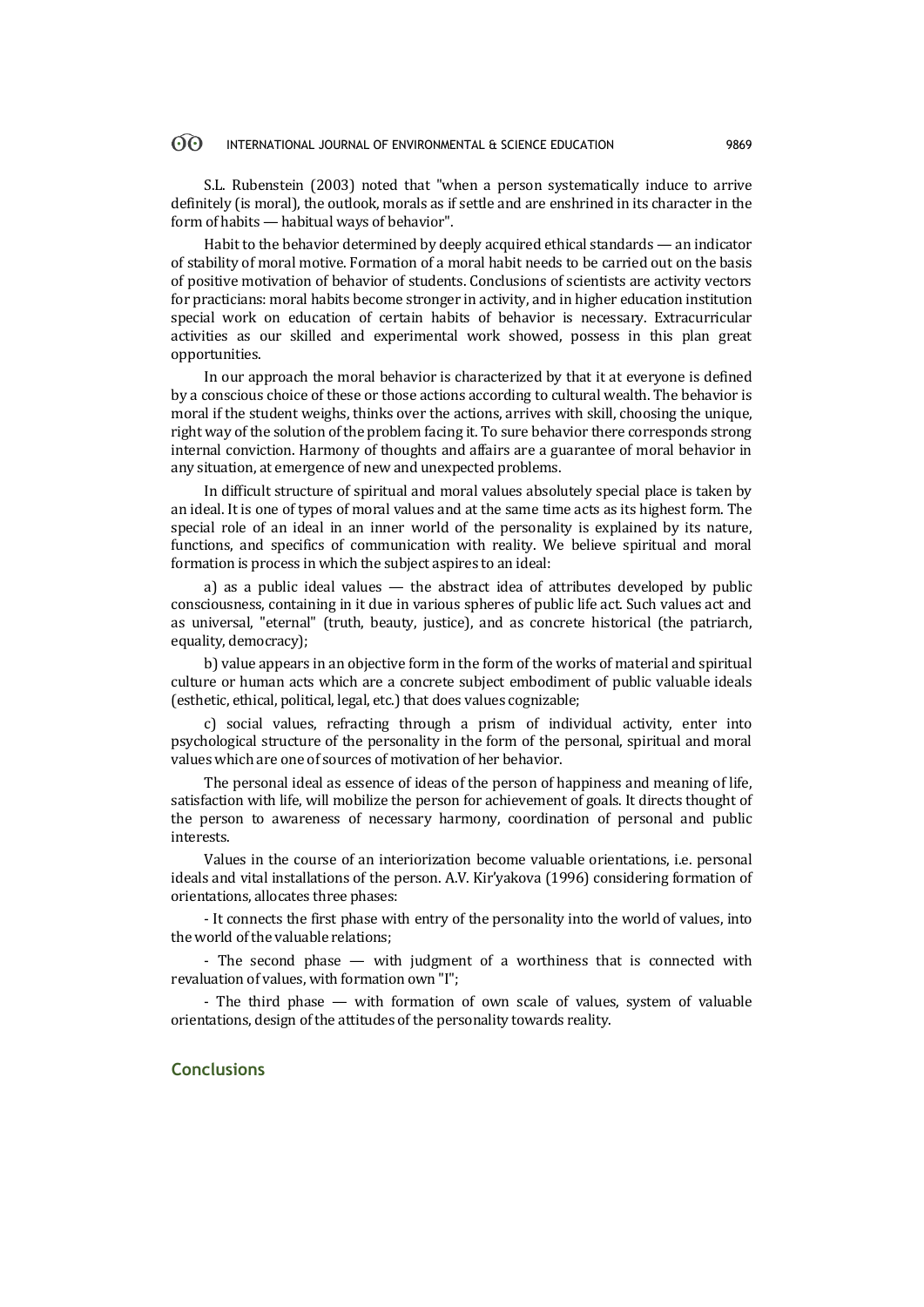S.L. Rubenstein (2003) noted that "when a person systematically induce to arrive definitely (is moral), the outlook, morals as if settle and are enshrined in its character in the form of habits — habitual ways of behavior".

Habit to the behavior determined by deeply acquired ethical standards — an indicator of stability of moral motive. Formation of a moral habit needs to be carried out on the basis of positive motivation of behavior of students. Conclusions of scientists are activity vectors for practicians: moral habits become stronger in activity, and in higher education institution special work on education of certain habits of behavior is necessary. Extracurricular activities as our skilled and experimental work showed, possess in this plan great opportunities.

In our approach the moral behavior is characterized by that it at everyone is defined by a conscious choice of these or those actions according to cultural wealth. The behavior is moral if the student weighs, thinks over the actions, arrives with skill, choosing the unique, right way of the solution of the problem facing it. To sure behavior there corresponds strong internal conviction. Harmony of thoughts and affairs are a guarantee of moral behavior in any situation, at emergence of new and unexpected problems.

In difficult structure of spiritual and moral values absolutely special place is taken by an ideal. It is one of types of moral values and at the same time acts as its highest form. The special role of an ideal in an inner world of the personality is explained by its nature, functions, and specifics of communication with reality. We believe spiritual and moral formation is process in which the subject aspires to an ideal:

a) as a public ideal values  $-$  the abstract idea of attributes developed by public consciousness, containing in it due in various spheres of public life act. Such values act and as universal, "eternal" (truth, beauty, justice), and as concrete historical (the patriarch, equality, democracy);

b) value appears in an objective form in the form of the works of material and spiritual culture or human acts which are a concrete subject embodiment of public valuable ideals (esthetic, ethical, political, legal, etc.) that does values cognizable;

c) social values, refracting through a prism of individual activity, enter into psychological structure of the personality in the form of the personal, spiritual and moral values which are one of sources of motivation of her behavior.

The personal ideal as essence of ideas of the person of happiness and meaning of life, satisfaction with life, will mobilize the person for achievement of goals. It directs thought of the person to awareness of necessary harmony, coordination of personal and public interests.

Values in the course of an interiorization become valuable orientations, i.e. personal ideals and vital installations of the person. A.V. Kir'yakova (1996) considering formation of orientations, allocates three phases:

- It connects the first phase with entry of the personality into the world of values, into the world of the valuable relations;

- The second phase — with judgment of a worthiness that is connected with revaluation of values, with formation own "I";

- The third phase — with formation of own scale of values, system of valuable orientations, design of the attitudes of the personality towards reality.

# **Conclusions**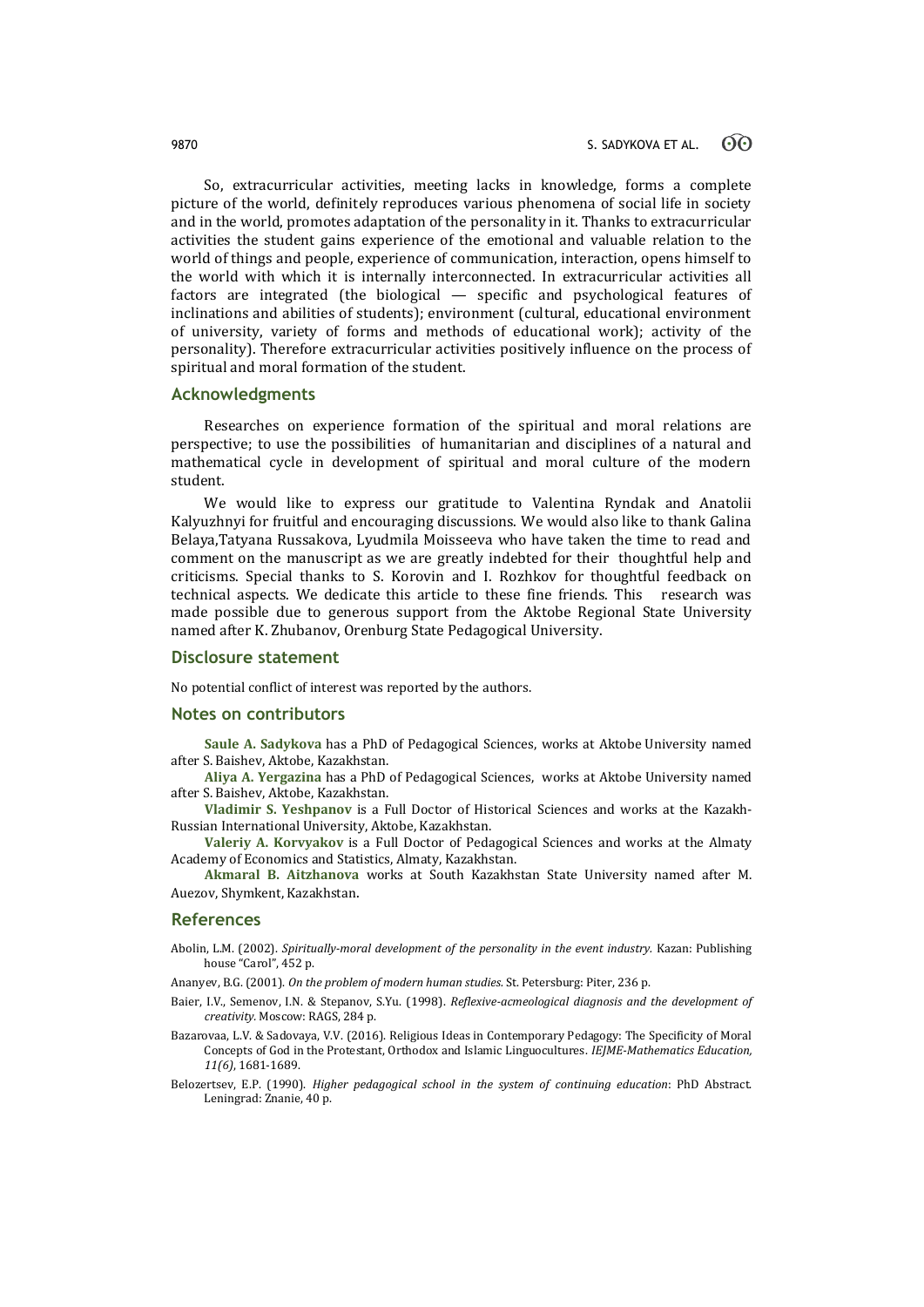So, extracurricular activities, meeting lacks in knowledge, forms a complete picture of the world, definitely reproduces various phenomena of social life in society and in the world, promotes adaptation of the personality in it. Thanks to extracurricular activities the student gains experience of the emotional and valuable relation to the world of things and people, experience of communication, interaction, opens himself to the world with which it is internally interconnected. In extracurricular activities all factors are integrated (the biological — specific and psychological features of inclinations and abilities of students); environment (cultural, educational environment of university, variety of forms and methods of educational work); activity of the personality). Therefore extracurricular activities positively influence on the process of spiritual and moral formation of the student.

### **Acknowledgments**

Researches on experience formation of the spiritual and moral relations are perspective; to use the possibilities of humanitarian and disciplines of a natural and mathematical cycle in development of spiritual and moral culture of the modern student.

We would like to express our gratitude to Valentina Ryndak and Anatolii Kalyuzhnyi for fruitful and encouraging discussions. We would also like to thank Galina Belaya,Tatyana Russakova, Lyudmila Moisseeva who have taken the time to read and comment on the manuscript as we are greatly indebted for their thoughtful help and criticisms. Special thanks to S. Korovin and I. Rozhkov for thoughtful feedback on technical aspects. We dedicate this article to these fine friends. This research was made possible due to generous support from the Aktobe Regional State University named after K. Zhubanov, Orenburg State Pedagogical University.

# **Disclosure statement**

No potential conflict of interest was reported by the authors.

### **Notes on contributors**

**Saule A. Sadykova** has a PhD of Pedagogical Sciences, works at Aktobe University named after S. Baishev, Aktobe, Kazakhstan.

**Aliya A. Yergazina** has a PhD of Pedagogical Sciences, works at Aktobe University named after S. Baishev, Aktobe, Kazakhstan.

**Vladimir S. Yeshpanov** is a Full Doctor of Historical Sciences and works at the Kazakh-Russian International University, Aktobe, Kazakhstan.

**Valeriy A. Korvyakov** is a Full Doctor of Pedagogical Sciences and works at the Almaty Academy of Economics and Statistics, Almaty, Kazakhstan.

**Akmaral B. Aitzhanova** works at South Kazakhstan State University named after M. Auezov, Shymkent, Kazakhstan.

### **References**

Abolin, L.M. (2002). *Spiritually-moral development of the personality in the event industry.* Kazan: Publishing house "Carol", 452 p.

Ananyev, B.G. (2001). *On the problem of modern human studies.* St. Petersburg: Piter, 236 p.

- Baier, I.V., Semenov, I.N. & Stepanov, S.Yu. (1998). *Reflexive-acmeological diagnosis and the development of creativity.* Moscow: RAGS, 284 p.
- Bazarovaa, L.V. & Sadovaya, V.V. (2016). Religious Ideas in Contemporary Pedagogy: The Specificity of Moral Concepts of God in the Protestant, Orthodox and Islamic Linguocultures. *IEJME-Mathematics Education, 11(6)*, 1681-1689.
- Belozertsev, E.P. (1990). *Higher pedagogical school in the system of continuing education*: PhD Abstract. Leningrad: Znanie, 40 p.